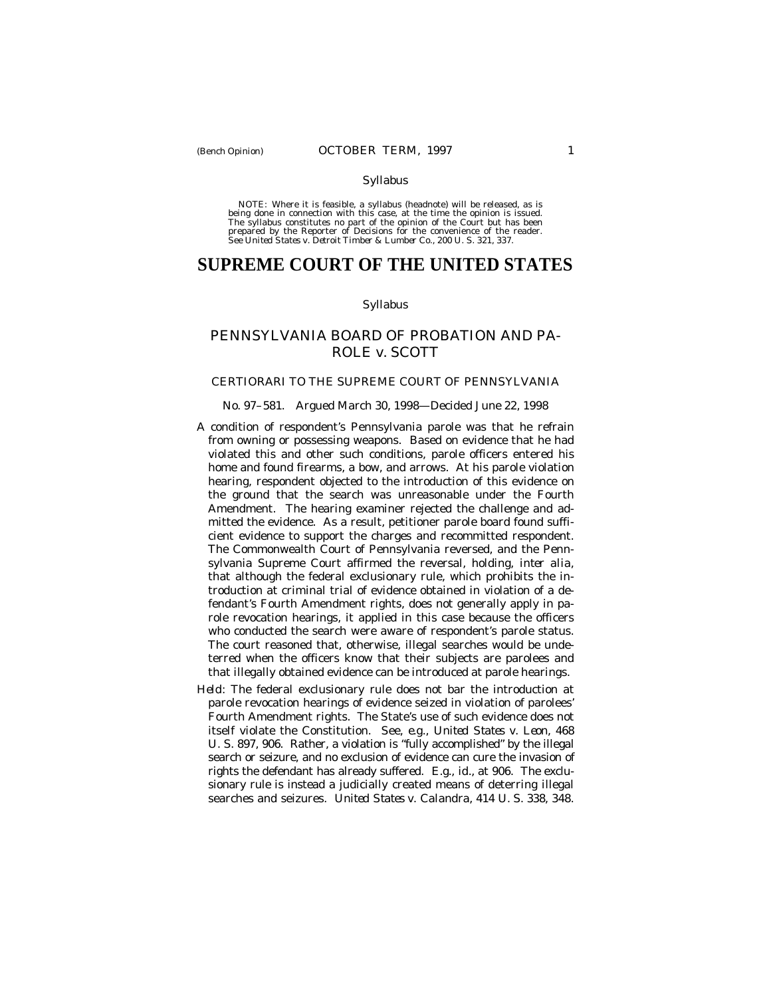#### Syllabus

NOTE: Where it is feasible, a syllabus (headnote) will be released, as is being done in connection with this case, at the time the opinion is issued. The syllabus constitutes no part of the opinion of the Court but has been<br>prepared by the Reporter of Decisions for the convenience of the reader.<br>See United States v. Detroit Timber & Lumber Co., 200 U. S. 321, 337.

# **SUPREME COURT OF THE UNITED STATES**

### Syllabus

# PENNSYLVANIA BOARD OF PROBATION AND PA-ROLE *v.* SCOTT

### CERTIORARI TO THE SUPREME COURT OF PENNSYLVANIA

### No. 97–581. Argued March 30, 1998— Decided June 22, 1998

- A condition of respondent's Pennsylvania parole was that he refrain from owning or possessing weapons. Based on evidence that he had violated this and other such conditions, parole officers entered his home and found firearms, a bow, and arrows. At his parole violation hearing, respondent objected to the introduction of this evidence on the ground that the search was unreasonable under the Fourth Amendment. The hearing examiner rejected the challenge and admitted the evidence. As a result, petitioner parole board found sufficient evidence to support the charges and recommitted respondent. The Commonwealth Court of Pennsylvania reversed, and the Pennsylvania Supreme Court affirmed the reversal, holding, *inter alia,* that although the federal exclusionary rule, which prohibits the introduction at criminal trial of evidence obtained in violation of a defendant's Fourth Amendment rights, does not generally apply in parole revocation hearings, it applied in this case because the officers who conducted the search were aware of respondent's parole status. The court reasoned that, otherwise, illegal searches would be undeterred when the officers know that their subjects are parolees and that illegally obtained evidence can be introduced at parole hearings.
- *Held:* The federal exclusionary rule does not bar the introduction at parole revocation hearings of evidence seized in violation of parolees' Fourth Amendment rights. The State's use of such evidence does not itself violate the Constitution. See, *e.g., United States* v. *Leon,* 468 U. S. 897, 906. Rather, a violation is "fully accomplished" by the illegal search or seizure, and no exclusion of evidence can cure the invasion of rights the defendant has already suffered. *E.g., id.,* at 906. The exclusionary rule is instead a judicially created means of deterring illegal searches and seizures. *United States* v. *Calandra,* 414 U. S. 338, 348.